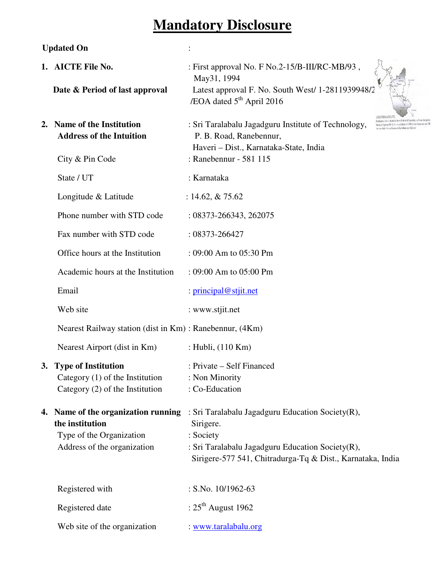# **Mandatory Disclosure**

## **Updated On** :

| 1. AICTE File No.<br>Date & Period of last approval                                                               | : First approval No. F No.2-15/B-III/RC-MB/93,<br>May31, 1994<br>Latest approval F. No. South West/ 1-2811939948/2<br>/EOA dated 5 <sup>th</sup> April 2016                                  |
|-------------------------------------------------------------------------------------------------------------------|----------------------------------------------------------------------------------------------------------------------------------------------------------------------------------------------|
| 2. Name of the Institution<br><b>Address of the Intuition</b><br>City & Pin Code                                  | : Sri Taralabalu Jagadguru Institute of Technology,<br>P. B. Road, Ranebennur,<br>Haveri - Dist., Karnataka-State, India<br>: Ranebennur - 581 115                                           |
| State / UT                                                                                                        | : Karnataka                                                                                                                                                                                  |
| Longitude & Latitude                                                                                              | : 14.62, $& 75.62$                                                                                                                                                                           |
| Phone number with STD code                                                                                        | : 08373-266343, 262075                                                                                                                                                                       |
| Fax number with STD code                                                                                          | $: 08373 - 266427$                                                                                                                                                                           |
| Office hours at the Institution                                                                                   | : 09:00 Am to 05:30 Pm                                                                                                                                                                       |
| Academic hours at the Institution                                                                                 | $: 09:00$ Am to $05:00$ Pm                                                                                                                                                                   |
| Email                                                                                                             | : principal@stjit.net                                                                                                                                                                        |
| Web site                                                                                                          | : www.stjit.net                                                                                                                                                                              |
| Nearest Railway station (dist in Km) : Ranebennur, (4Km)                                                          |                                                                                                                                                                                              |
| Nearest Airport (dist in Km)                                                                                      | : Hubli, (110 Km)                                                                                                                                                                            |
| 3. Type of Institution<br>Category $(1)$ of the Institution<br>Category $(2)$ of the Institution                  | : Private – Self Financed<br>: Non Minority<br>: Co-Education                                                                                                                                |
| 4. Name of the organization running<br>the institution<br>Type of the Organization<br>Address of the organization | : Sri Taralabalu Jagadguru Education Society(R),<br>Sirigere.<br>: Society<br>: Sri Taralabalu Jagadguru Education Society(R),<br>Sirigere-577 541, Chitradurga-Tq & Dist., Karnataka, India |
| Registered with                                                                                                   | : S.No. $10/1962-63$                                                                                                                                                                         |
| Registered date                                                                                                   | : $25^{\text{th}}$ August 1962                                                                                                                                                               |
| Web site of the organization                                                                                      | : www.taralabalu.org                                                                                                                                                                         |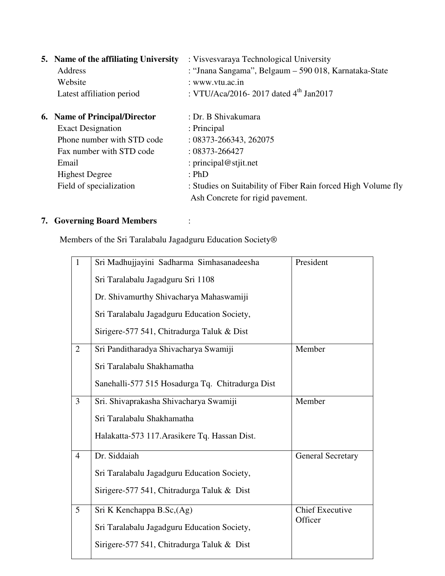| 5. Name of the affiliating University<br>Address | : Visvesvaraya Technological University<br>: "Jnana Sangama", Belgaum – 590 018, Karnataka-State |
|--------------------------------------------------|--------------------------------------------------------------------------------------------------|
| Website                                          | : www.vtu.ac.in                                                                                  |
| Latest affiliation period                        | : VTU/Aca/2016-2017 dated $4^{th}$ Jan2017                                                       |
| <b>6.</b> Name of Principal/Director             | : Dr. B Shivakumara                                                                              |
| <b>Exact Designation</b>                         | : Principal                                                                                      |
| Phone number with STD code                       | $: 08373 - 266343, 262075$                                                                       |
| Fax number with STD code                         | $: 08373 - 266427$                                                                               |
| Email                                            | : principal@stjit.net                                                                            |
| <b>Highest Degree</b>                            | : PhD                                                                                            |
| Field of specialization                          | : Studies on Suitability of Fiber Rain forced High Volume fly                                    |
|                                                  | Ash Concrete for rigid pavement.                                                                 |

### **7. Governing Board Members** :

Members of the Sri Taralabalu Jagadguru Education Society®

| $\mathbf{1}$   | Sri Madhujjayini Sadharma Simhasanadeesha        | President                |
|----------------|--------------------------------------------------|--------------------------|
|                | Sri Taralabalu Jagadguru Sri 1108                |                          |
|                | Dr. Shivamurthy Shivacharya Mahaswamiji          |                          |
|                | Sri Taralabalu Jagadguru Education Society,      |                          |
|                | Sirigere-577 541, Chitradurga Taluk & Dist       |                          |
| $\overline{2}$ | Sri Panditharadya Shivacharya Swamiji            | Member                   |
|                | Sri Taralabalu Shakhamatha                       |                          |
|                | Sanehalli-577 515 Hosadurga Tq. Chitradurga Dist |                          |
| 3              | Sri. Shivaprakasha Shivacharya Swamiji           | Member                   |
|                | Sri Taralabalu Shakhamatha                       |                          |
|                | Halakatta-573 117. Arasikere Tq. Hassan Dist.    |                          |
| $\overline{4}$ | Dr. Siddaiah                                     | <b>General Secretary</b> |
|                | Sri Taralabalu Jagadguru Education Society,      |                          |
|                | Sirigere-577 541, Chitradurga Taluk & Dist       |                          |
| $\overline{5}$ | Sri K Kenchappa B.Sc, (Ag)                       | <b>Chief Executive</b>   |
|                | Sri Taralabalu Jagadguru Education Society,      | Officer                  |
|                | Sirigere-577 541, Chitradurga Taluk & Dist       |                          |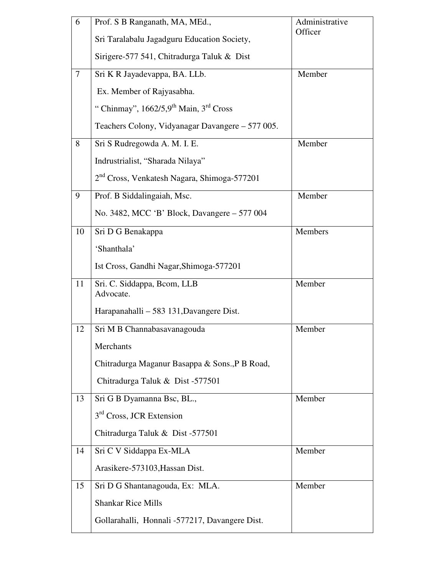| 6              | Prof. S B Ranganath, MA, MEd.,                          | Administrative<br>Officer |
|----------------|---------------------------------------------------------|---------------------------|
|                | Sri Taralabalu Jagadguru Education Society,             |                           |
|                | Sirigere-577 541, Chitradurga Taluk & Dist              |                           |
| $\overline{7}$ | Sri K R Jayadevappa, BA. LLb.                           | Member                    |
|                | Ex. Member of Rajyasabha.                               |                           |
|                | "Chinmay", $1662/5.9$ <sup>th</sup> Main, $3rd$ Cross   |                           |
|                | Teachers Colony, Vidyanagar Davangere – 577 005.        |                           |
| 8              | Sri S Rudregowda A. M. I. E.                            | Member                    |
|                | Indrustrialist, "Sharada Nilaya"                        |                           |
|                | 2 <sup>nd</sup> Cross, Venkatesh Nagara, Shimoga-577201 |                           |
| 9              | Prof. B Siddalingaiah, Msc.                             | Member                    |
|                | No. 3482, MCC 'B' Block, Davangere - 577 004            |                           |
| 10             | Sri D G Benakappa                                       | Members                   |
|                | 'Shanthala'                                             |                           |
|                | Ist Cross, Gandhi Nagar, Shimoga-577201                 |                           |
| 11             | Sri. C. Siddappa, Bcom, LLB<br>Advocate.                | Member                    |
|                | Harapanahalli – 583 131, Davangere Dist.                |                           |
| 12             | Sri M B Channabasavanagouda                             | Member                    |
|                | Merchants                                               |                           |
|                | Chitradurga Maganur Basappa & Sons., P B Road,          |                           |
|                | Chitradurga Taluk & Dist -577501                        |                           |
| 13             | Sri G B Dyamanna Bsc, BL.,                              | Member                    |
|                | 3 <sup>rd</sup> Cross, JCR Extension                    |                           |
|                | Chitradurga Taluk & Dist -577501                        |                           |
| 14             | Sri C V Siddappa Ex-MLA                                 | Member                    |
|                | Arasikere-573103, Hassan Dist.                          |                           |
| 15             | Sri D G Shantanagouda, Ex: MLA.                         | Member                    |
|                | <b>Shankar Rice Mills</b>                               |                           |
|                | Gollarahalli, Honnali -577217, Davangere Dist.          |                           |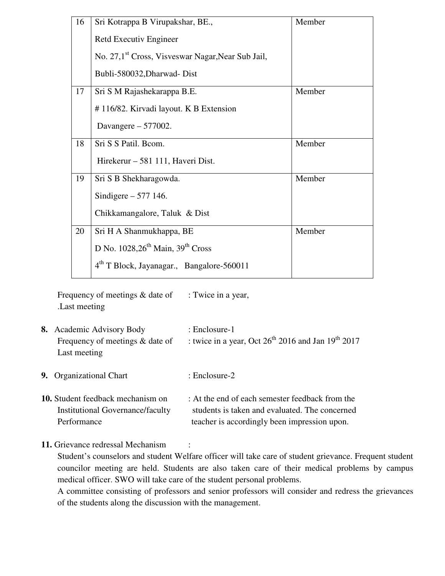| 16 | Sri Kotrappa B Virupakshar, BE.,                              | Member |
|----|---------------------------------------------------------------|--------|
|    | Retd Executiv Engineer                                        |        |
|    | No. 27,1 <sup>st</sup> Cross, Visveswar Nagar, Near Sub Jail, |        |
|    | Bubli-580032, Dharwad-Dist                                    |        |
| 17 | Sri S M Rajashekarappa B.E.                                   | Member |
|    | #116/82. Kirvadi layout. K B Extension                        |        |
|    | Davangere $-577002$ .                                         |        |
| 18 | Sri S S Patil. Bcom.                                          | Member |
|    | Hirekerur – 581 111, Haveri Dist.                             |        |
| 19 | Sri S B Shekharagowda.                                        | Member |
|    | Sindigere $-577$ 146.                                         |        |
|    | Chikkamangalore, Taluk & Dist                                 |        |
| 20 | Sri H A Shanmukhappa, BE                                      | Member |
|    | D No. $1028,26^{th}$ Main, $39^{th}$ Cross                    |        |
|    | 4 <sup>th</sup> T Block, Jayanagar., Bangalore-560011         |        |

Frequency of meetings  $&$  date of : Twice in a year, .Last meeting

- **8.** Academic Advisory Body : Enclosure-1 Frequency of meetings & date of : twice in a year, Oct  $26^{th}$  2016 and Jan 19<sup>th</sup> 2017 Last meeting
- **9.** Organizational Chart : Enclosure-2
- **10.** Student feedback mechanism on : At the end of each semester feedback from the Institutional Governance/faculty students is taken and evaluated. The concerned Performance teacher is accordingly been impression upon.
- 11. Grievance redressal Mechanism

Student's counselors and student Welfare officer will take care of student grievance. Frequent student councilor meeting are held. Students are also taken care of their medical problems by campus medical officer. SWO will take care of the student personal problems.

A committee consisting of professors and senior professors will consider and redress the grievances of the students along the discussion with the management.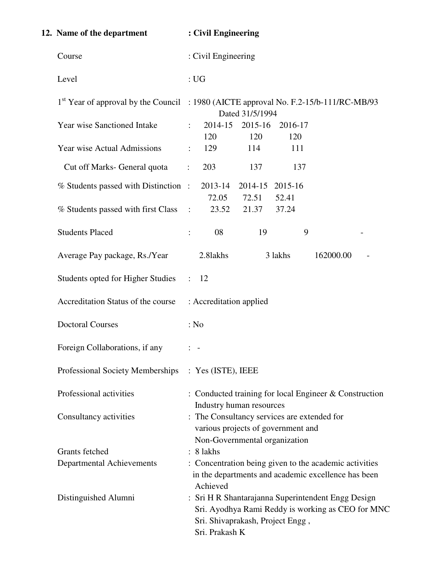| 12. Name of the department               | : Civil Engineering                                                                                                                                           |
|------------------------------------------|---------------------------------------------------------------------------------------------------------------------------------------------------------------|
| Course                                   | : Civil Engineering                                                                                                                                           |
| Level                                    | $:$ UG                                                                                                                                                        |
|                                          | 1 <sup>st</sup> Year of approval by the Council : 1980 (AICTE approval No. F.2-15/b-111/RC-MB/93<br>Dated 31/5/1994                                           |
| <b>Year wise Sanctioned Intake</b>       | 2014-15<br>2015-16<br>2016-17<br>$\ddot{\phantom{a}}$<br>120<br>120<br>120                                                                                    |
| Year wise Actual Admissions              | 129<br>114<br>111<br>$\ddot{\cdot}$                                                                                                                           |
| Cut off Marks- General quota             | 203<br>137<br>137<br>$\ddot{\cdot}$                                                                                                                           |
| % Students passed with Distinction:      | 2013-14<br>2014-15 2015-16<br>72.05<br>72.51<br>52.41                                                                                                         |
| % Students passed with first Class       | 21.37<br>37.24<br>23.52<br>$\mathbb{R}^2$                                                                                                                     |
| <b>Students Placed</b>                   | 08<br>9<br>19<br>$\ddot{\cdot}$                                                                                                                               |
| Average Pay package, Rs./Year            | 2.8lakhs<br>3 lakhs<br>162000.00                                                                                                                              |
| <b>Students opted for Higher Studies</b> | $\therefore$ 12                                                                                                                                               |
| Accreditation Status of the course       | : Accreditation applied                                                                                                                                       |
| <b>Doctoral Courses</b>                  | : No                                                                                                                                                          |
| Foreign Collaborations, if any           | $\frac{1}{2}$ $\frac{1}{2}$                                                                                                                                   |
| Professional Society Memberships         | : Yes (ISTE), IEEE                                                                                                                                            |
| Professional activities                  | : Conducted training for local Engineer $&$ Construction<br>Industry human resources                                                                          |
| Consultancy activities                   | : The Consultancy services are extended for<br>various projects of government and<br>Non-Governmental organization                                            |
| <b>Grants</b> fetched                    | $: 8$ lakhs                                                                                                                                                   |
| Departmental Achievements                | : Concentration being given to the academic activities<br>in the departments and academic excellence has been<br>Achieved                                     |
| Distinguished Alumni                     | : Sri H R Shantarajanna Superintendent Engg Design<br>Sri. Ayodhya Rami Reddy is working as CEO for MNC<br>Sri. Shivaprakash, Project Engg,<br>Sri. Prakash K |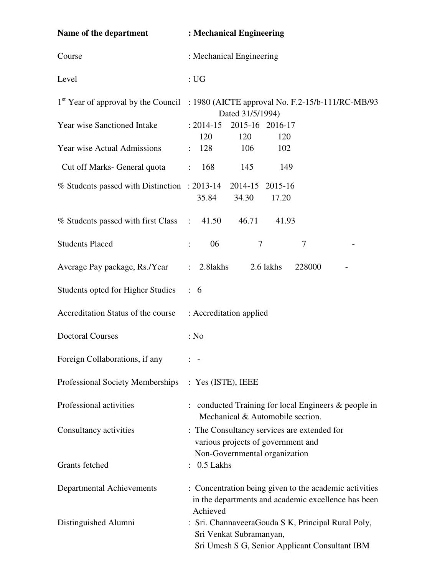| Name of the department                       | : Mechanical Engineering                                                                                                        |  |  |  |  |
|----------------------------------------------|---------------------------------------------------------------------------------------------------------------------------------|--|--|--|--|
| Course                                       | : Mechanical Engineering                                                                                                        |  |  |  |  |
| Level                                        | $:$ UG                                                                                                                          |  |  |  |  |
|                                              | 1 <sup>st</sup> Year of approval by the Council : 1980 (AICTE approval No. F.2-15/b-111/RC-MB/93<br>Dated 31/5/1994)            |  |  |  |  |
| Year wise Sanctioned Intake                  | 2015-16 2016-17<br>$: 2014 - 15$<br>120<br>120<br>120                                                                           |  |  |  |  |
| <b>Year wise Actual Admissions</b>           | 128<br>106<br>102                                                                                                               |  |  |  |  |
| Cut off Marks- General quota                 | 168<br>145<br>149<br>$\ddot{\cdot}$                                                                                             |  |  |  |  |
| % Students passed with Distinction : 2013-14 | 2014-15<br>2015-16<br>35.84<br>34.30<br>17.20                                                                                   |  |  |  |  |
| % Students passed with first Class           | 46.71<br>41.93<br>41.50<br>$\ddot{\cdot}$                                                                                       |  |  |  |  |
| <b>Students Placed</b>                       | 06<br>$\tau$<br>7<br>$\ddot{\cdot}$                                                                                             |  |  |  |  |
| Average Pay package, Rs./Year                | 2.81akhs<br>2.6 lakhs<br>228000<br>$\ddot{\phantom{0}}$                                                                         |  |  |  |  |
| <b>Students opted for Higher Studies</b>     | $\colon 6$                                                                                                                      |  |  |  |  |
| Accreditation Status of the course           | : Accreditation applied                                                                                                         |  |  |  |  |
| <b>Doctoral Courses</b>                      | : No                                                                                                                            |  |  |  |  |
| Foreign Collaborations, if any               | $\blacksquare$                                                                                                                  |  |  |  |  |
| Professional Society Memberships             | $:$ Yes (ISTE), IEEE                                                                                                            |  |  |  |  |
| Professional activities                      | conducted Training for local Engineers & people in<br>Mechanical & Automobile section.                                          |  |  |  |  |
| Consultancy activities                       | : The Consultancy services are extended for<br>various projects of government and                                               |  |  |  |  |
| Grants fetched                               | Non-Governmental organization<br>0.5 Lakhs                                                                                      |  |  |  |  |
| Departmental Achievements                    | : Concentration being given to the academic activities<br>in the departments and academic excellence has been<br>Achieved       |  |  |  |  |
| Distinguished Alumni                         | : Sri. ChannaveeraGouda S K, Principal Rural Poly,<br>Sri Venkat Subramanyan,<br>Sri Umesh S G, Senior Applicant Consultant IBM |  |  |  |  |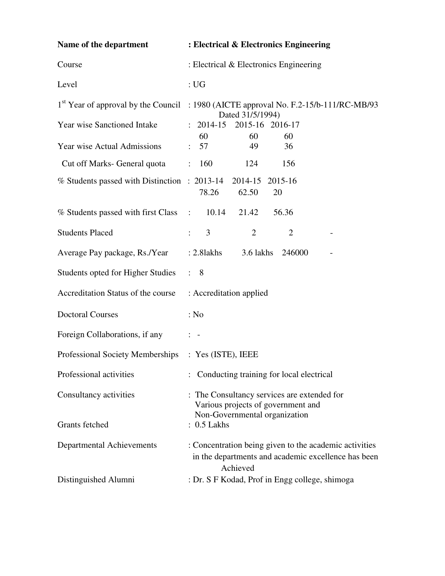| Name of the department                                       | : Electrical & Electronics Engineering                                                                                                                 |  |  |  |  |
|--------------------------------------------------------------|--------------------------------------------------------------------------------------------------------------------------------------------------------|--|--|--|--|
| Course                                                       | : Electrical & Electronics Engineering                                                                                                                 |  |  |  |  |
| Level                                                        | $:$ UG                                                                                                                                                 |  |  |  |  |
| Year wise Sanctioned Intake                                  | 1 <sup>st</sup> Year of approval by the Council : 1980 (AICTE approval No. F.2-15/b-111/RC-MB/93<br>Dated 31/5/1994)<br>2015-16 2016-17<br>$: 2014-15$ |  |  |  |  |
| <b>Year wise Actual Admissions</b>                           | 60<br>60<br>60<br>57<br>49<br>36<br>$\mathbb{Z}^{\mathbb{Z}}$                                                                                          |  |  |  |  |
| Cut off Marks- General quota                                 | 160<br>124<br>156<br>$\ddot{\cdot}$                                                                                                                    |  |  |  |  |
| % Students passed with Distinction : 2013-14 2014-15 2015-16 | 78.26<br>62.50<br>20                                                                                                                                   |  |  |  |  |
| % Students passed with first Class                           | 10.14<br>21.42<br>56.36<br>$\mathbb{R}^2$                                                                                                              |  |  |  |  |
| <b>Students Placed</b>                                       | 3<br>$\overline{2}$<br>$\overline{2}$<br>$\ddot{\cdot}$                                                                                                |  |  |  |  |
| Average Pay package, Rs./Year                                | $: 2.8$ lakhs<br>3.6 lakhs<br>246000                                                                                                                   |  |  |  |  |
| Students opted for Higher Studies                            | $\therefore$ 8                                                                                                                                         |  |  |  |  |
| Accreditation Status of the course                           | : Accreditation applied                                                                                                                                |  |  |  |  |
| <b>Doctoral Courses</b>                                      | : No                                                                                                                                                   |  |  |  |  |
| Foreign Collaborations, if any                               | $\frac{1}{2}$ $\frac{1}{2}$                                                                                                                            |  |  |  |  |
| <b>Professional Society Memberships</b>                      | $:$ Yes (ISTE), IEEE                                                                                                                                   |  |  |  |  |
| Professional activities                                      | : Conducting training for local electrical                                                                                                             |  |  |  |  |
| Consultancy activities                                       | : The Consultancy services are extended for<br>Various projects of government and                                                                      |  |  |  |  |
| Grants fetched                                               | Non-Governmental organization<br>$: 0.5$ Lakhs                                                                                                         |  |  |  |  |
| Departmental Achievements                                    | : Concentration being given to the academic activities<br>in the departments and academic excellence has been<br>Achieved                              |  |  |  |  |
| Distinguished Alumni                                         | : Dr. S F Kodad, Prof in Engg college, shimoga                                                                                                         |  |  |  |  |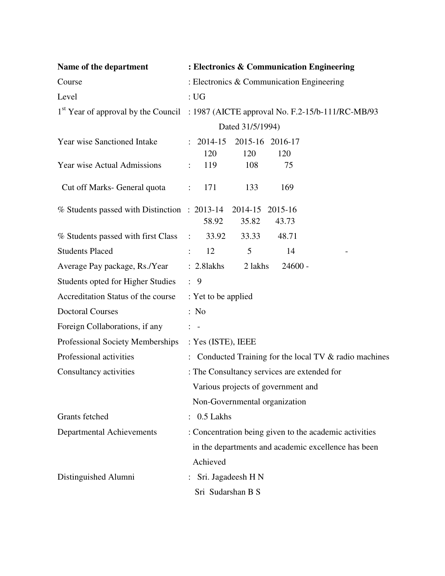| Name of the department                       | : Electronics & Communication Engineering                                                        |  |  |  |
|----------------------------------------------|--------------------------------------------------------------------------------------------------|--|--|--|
| Course                                       | : Electronics & Communication Engineering                                                        |  |  |  |
| Level                                        | $:$ UG                                                                                           |  |  |  |
|                                              | 1 <sup>st</sup> Year of approval by the Council : 1987 (AICTE approval No. F.2-15/b-111/RC-MB/93 |  |  |  |
|                                              | Dated 31/5/1994)                                                                                 |  |  |  |
| <b>Year wise Sanctioned Intake</b>           | $: 2014-15$<br>2015-16 2016-17                                                                   |  |  |  |
|                                              | 120<br>120<br>120                                                                                |  |  |  |
| Year wise Actual Admissions                  | 108<br>119<br>75<br>$\ddot{\cdot}$                                                               |  |  |  |
| Cut off Marks- General quota                 | 169<br>133<br>171<br>$\ddot{\cdot}$                                                              |  |  |  |
| % Students passed with Distinction : 2013-14 | 2014-15<br>2015-16                                                                               |  |  |  |
|                                              | 58.92<br>35.82<br>43.73                                                                          |  |  |  |
| % Students passed with first Class           | 48.71<br>33.92<br>33.33<br>$\ddot{\cdot}$                                                        |  |  |  |
| <b>Students Placed</b>                       | 12<br>5<br>14<br>$\ddot{\cdot}$                                                                  |  |  |  |
| Average Pay package, Rs./Year                | $: 2.8$ lakhs<br>2 lakhs<br>$24600 -$                                                            |  |  |  |
| <b>Students opted for Higher Studies</b>     | $\therefore$ 9                                                                                   |  |  |  |
| Accreditation Status of the course           | : Yet to be applied                                                                              |  |  |  |
| <b>Doctoral Courses</b>                      | : No                                                                                             |  |  |  |
| Foreign Collaborations, if any               | $\frac{1}{2}$ $\frac{1}{2}$                                                                      |  |  |  |
| Professional Society Memberships             | : Yes (ISTE), IEEE                                                                               |  |  |  |
| Professional activities                      | Conducted Training for the local TV & radio machines                                             |  |  |  |
| Consultancy activities                       | : The Consultancy services are extended for                                                      |  |  |  |
|                                              | Various projects of government and                                                               |  |  |  |
|                                              | Non-Governmental organization                                                                    |  |  |  |
| Grants fetched                               | $: 0.5$ Lakhs                                                                                    |  |  |  |
| Departmental Achievements                    | : Concentration being given to the academic activities                                           |  |  |  |
|                                              | in the departments and academic excellence has been                                              |  |  |  |
|                                              | Achieved                                                                                         |  |  |  |
| Distinguished Alumni                         | Sri. Jagadeesh H N<br>$\ddot{\cdot}$                                                             |  |  |  |
|                                              | Sri Sudarshan B S                                                                                |  |  |  |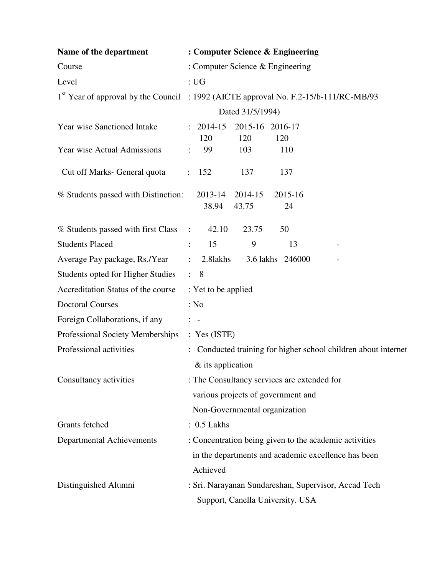| Name of the department                   | : Computer Science & Engineering                                                                 |  |  |  |  |  |
|------------------------------------------|--------------------------------------------------------------------------------------------------|--|--|--|--|--|
| Course                                   | : Computer Science & Engineering                                                                 |  |  |  |  |  |
| Level                                    | $:$ UG                                                                                           |  |  |  |  |  |
|                                          | 1 <sup>st</sup> Year of approval by the Council : 1992 (AICTE approval No. F.2-15/b-111/RC-MB/93 |  |  |  |  |  |
|                                          | Dated 31/5/1994)                                                                                 |  |  |  |  |  |
| Year wise Sanctioned Intake              | 2014-15<br>2015-16 2016-17<br>$\ddot{\cdot}$                                                     |  |  |  |  |  |
| Year wise Actual Admissions              | 120<br>120<br>120<br>99<br>103<br>110                                                            |  |  |  |  |  |
| Cut off Marks- General quota             | 152<br>137<br>137<br>$\ddot{\phantom{0}}$                                                        |  |  |  |  |  |
| % Students passed with Distinction:      | 2014-15<br>2015-16<br>2013-14<br>38.94<br>43.75<br>24                                            |  |  |  |  |  |
| % Students passed with first Class       | 50<br>42.10<br>23.75<br>$\ddot{\cdot}$                                                           |  |  |  |  |  |
| <b>Students Placed</b>                   | 15<br>9<br>13<br>$\ddot{\cdot}$                                                                  |  |  |  |  |  |
| Average Pay package, Rs./Year            | 3.6 lakhs 246000<br>2.81akhs<br>$\ddot{\cdot}$                                                   |  |  |  |  |  |
| <b>Students opted for Higher Studies</b> | $\therefore$ 8                                                                                   |  |  |  |  |  |
| Accreditation Status of the course       | : Yet to be applied                                                                              |  |  |  |  |  |
| <b>Doctoral Courses</b>                  | : No                                                                                             |  |  |  |  |  |
| Foreign Collaborations, if any           | $\frac{1}{2}$ $\frac{1}{2}$                                                                      |  |  |  |  |  |
| Professional Society Memberships         | : Yes (ISTE)                                                                                     |  |  |  |  |  |
| Professional activities                  | Conducted training for higher school children about internet                                     |  |  |  |  |  |
|                                          | & its application                                                                                |  |  |  |  |  |
| Consultancy activities                   | : The Consultancy services are extended for                                                      |  |  |  |  |  |
|                                          | various projects of government and                                                               |  |  |  |  |  |
|                                          | Non-Governmental organization                                                                    |  |  |  |  |  |
| Grants fetched                           | $: 0.5$ Lakhs                                                                                    |  |  |  |  |  |
| Departmental Achievements                | : Concentration being given to the academic activities                                           |  |  |  |  |  |
|                                          | in the departments and academic excellence has been                                              |  |  |  |  |  |
|                                          | Achieved                                                                                         |  |  |  |  |  |
| Distinguished Alumni                     | : Sri. Narayanan Sundareshan, Supervisor, Accad Tech                                             |  |  |  |  |  |
|                                          | Support, Canella University. USA                                                                 |  |  |  |  |  |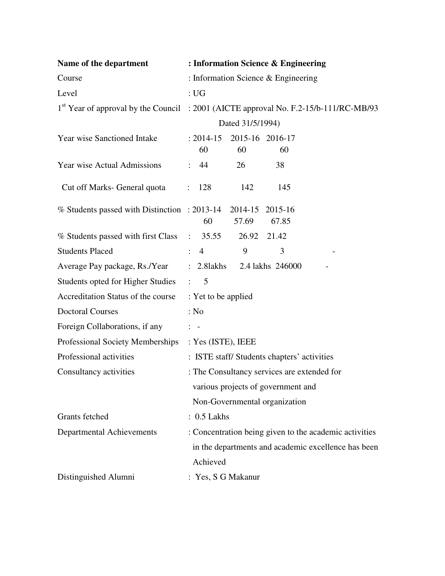| Name of the department                       | : Information Science & Engineering                                                                           |  |  |  |
|----------------------------------------------|---------------------------------------------------------------------------------------------------------------|--|--|--|
| Course                                       | : Information Science & Engineering                                                                           |  |  |  |
| Level                                        | $:$ UG                                                                                                        |  |  |  |
|                                              | 1 <sup>st</sup> Year of approval by the Council : 2001 (AICTE approval No. F.2-15/b-111/RC-MB/93              |  |  |  |
|                                              | Dated 31/5/1994)                                                                                              |  |  |  |
| <b>Year wise Sanctioned Intake</b>           | 2015-16 2016-17<br>$: 2014 - 15$<br>60<br>60<br>60                                                            |  |  |  |
| <b>Year wise Actual Admissions</b>           | 44<br>26<br>38<br>$\ddot{\cdot}$                                                                              |  |  |  |
| Cut off Marks- General quota                 | 142<br>145<br>128                                                                                             |  |  |  |
| % Students passed with Distinction : 2013-14 | 2014-15 2015-16<br>67.85<br>60<br>57.69                                                                       |  |  |  |
| % Students passed with first Class           | 35.55<br>26.92<br>21.42<br>$\ddot{\cdot}$                                                                     |  |  |  |
| <b>Students Placed</b>                       | 9<br>3<br>$\overline{4}$<br>$\ddot{\cdot}$                                                                    |  |  |  |
| Average Pay package, Rs./Year                | $: 2.8$ lakhs<br>2.4 lakhs 246000                                                                             |  |  |  |
| Students opted for Higher Studies            | $\therefore$ 5                                                                                                |  |  |  |
| Accreditation Status of the course           | : Yet to be applied                                                                                           |  |  |  |
| <b>Doctoral Courses</b>                      | : No                                                                                                          |  |  |  |
| Foreign Collaborations, if any               | $\frac{1}{2}$ $\frac{1}{2}$                                                                                   |  |  |  |
| Professional Society Memberships             | : Yes (ISTE), IEEE                                                                                            |  |  |  |
| Professional activities                      | : ISTE staff/Students chapters' activities                                                                    |  |  |  |
| Consultancy activities                       | : The Consultancy services are extended for                                                                   |  |  |  |
|                                              | various projects of government and                                                                            |  |  |  |
|                                              | Non-Governmental organization                                                                                 |  |  |  |
| Grants fetched                               | $: 0.5$ Lakhs                                                                                                 |  |  |  |
| Departmental Achievements                    | : Concentration being given to the academic activities<br>in the departments and academic excellence has been |  |  |  |
|                                              | Achieved                                                                                                      |  |  |  |
| Distinguished Alumni                         | : Yes, S G Makanur                                                                                            |  |  |  |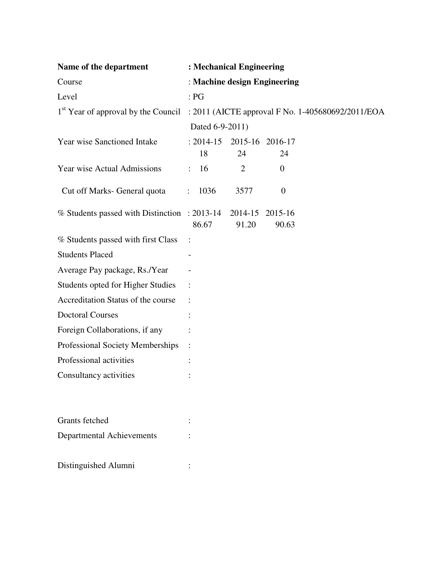| Name of the department                                                                            | : Mechanical Engineering     |                 |                  |  |  |  |
|---------------------------------------------------------------------------------------------------|------------------------------|-----------------|------------------|--|--|--|
| Course                                                                                            | : Machine design Engineering |                 |                  |  |  |  |
| Level                                                                                             | : PG                         |                 |                  |  |  |  |
| 1 <sup>st</sup> Year of approval by the Council : 2011 (AICTE approval F No. 1-405680692/2011/EOA |                              |                 |                  |  |  |  |
|                                                                                                   | Dated 6-9-2011)              |                 |                  |  |  |  |
| Year wise Sanctioned Intake                                                                       | $: 2014 - 15$                |                 | 2015-16 2016-17  |  |  |  |
|                                                                                                   | 18                           | 24              | 24               |  |  |  |
| Year wise Actual Admissions                                                                       | 16<br>$\mathbf{L}$           | 2               | $\boldsymbol{0}$ |  |  |  |
| Cut off Marks- General quota                                                                      | 1036<br>$\ddot{\cdot}$       | 3577            | $\boldsymbol{0}$ |  |  |  |
| % Students passed with Distinction : 2013-14                                                      |                              | 2014-15 2015-16 |                  |  |  |  |
|                                                                                                   | 86.67                        | 91.20           | 90.63            |  |  |  |
| % Students passed with first Class                                                                | :                            |                 |                  |  |  |  |
| <b>Students Placed</b>                                                                            |                              |                 |                  |  |  |  |
| Average Pay package, Rs./Year                                                                     |                              |                 |                  |  |  |  |
| Students opted for Higher Studies                                                                 | $\ddot{\phantom{1}}$         |                 |                  |  |  |  |
| Accreditation Status of the course                                                                |                              |                 |                  |  |  |  |
| <b>Doctoral Courses</b>                                                                           |                              |                 |                  |  |  |  |
| Foreign Collaborations, if any                                                                    |                              |                 |                  |  |  |  |
| Professional Society Memberships                                                                  | $\ddot{\cdot}$               |                 |                  |  |  |  |
| Professional activities                                                                           |                              |                 |                  |  |  |  |
| Consultancy activities                                                                            |                              |                 |                  |  |  |  |
| <b>Grants</b> fetched                                                                             |                              |                 |                  |  |  |  |
| <b>Departmental Achievements</b>                                                                  |                              |                 |                  |  |  |  |
| Distinguished Alumni                                                                              |                              |                 |                  |  |  |  |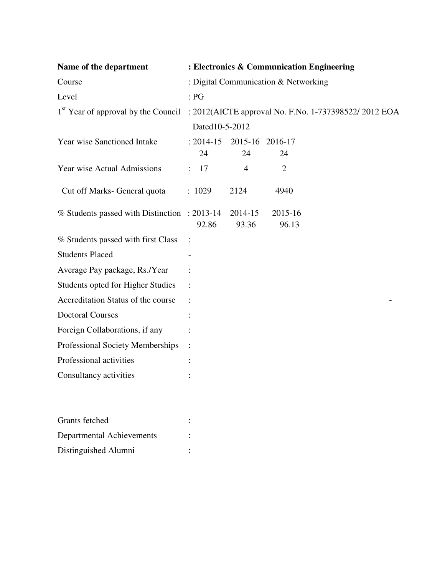| Name of the department                       |                      |                  | : Electronics & Communication Engineering                                                |  |  |
|----------------------------------------------|----------------------|------------------|------------------------------------------------------------------------------------------|--|--|
| Course                                       |                      |                  | : Digital Communication & Networking                                                     |  |  |
| Level                                        | : PG                 |                  |                                                                                          |  |  |
|                                              |                      |                  | 1st Year of approval by the Council : 2012(AICTE approval No. F.No. 1-737398522/2012 EOA |  |  |
|                                              |                      | Dated10-5-2012   |                                                                                          |  |  |
| <b>Year wise Sanctioned Intake</b>           | $: 2014 - 15$<br>24  | 24               | 2015-16 2016-17<br>24                                                                    |  |  |
| Year wise Actual Admissions                  | 17<br>$\ddot{\cdot}$ | $\overline{4}$   | $\overline{2}$                                                                           |  |  |
| Cut off Marks- General quota                 | : 1029               | 2124             | 4940                                                                                     |  |  |
| % Students passed with Distinction : 2013-14 | 92.86                | 2014-15<br>93.36 | 2015-16<br>96.13                                                                         |  |  |
| % Students passed with first Class           | $\vdots$             |                  |                                                                                          |  |  |
| <b>Students Placed</b>                       |                      |                  |                                                                                          |  |  |
| Average Pay package, Rs./Year                |                      |                  |                                                                                          |  |  |
| Students opted for Higher Studies            |                      |                  |                                                                                          |  |  |
| Accreditation Status of the course           |                      |                  |                                                                                          |  |  |
| <b>Doctoral Courses</b>                      |                      |                  |                                                                                          |  |  |
| Foreign Collaborations, if any               |                      |                  |                                                                                          |  |  |
| Professional Society Memberships             |                      |                  |                                                                                          |  |  |
| Professional activities                      |                      |                  |                                                                                          |  |  |
| Consultancy activities                       |                      |                  |                                                                                          |  |  |
|                                              |                      |                  |                                                                                          |  |  |
| Grants fetched                               |                      |                  |                                                                                          |  |  |
| <b>Departmental Achievements</b>             |                      |                  |                                                                                          |  |  |
| Distinguished Alumni                         |                      |                  |                                                                                          |  |  |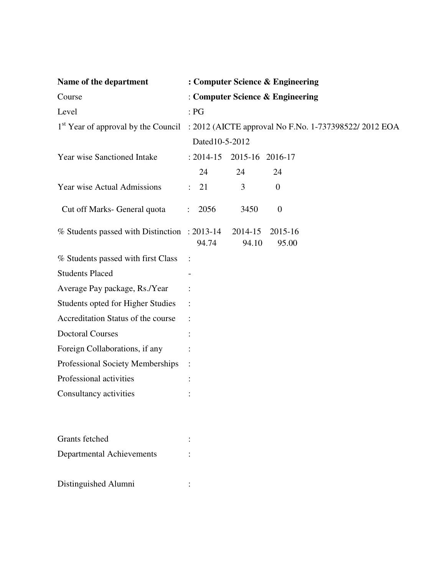| Name of the department                       |                |                |                  | : Computer Science & Engineering                                                                      |
|----------------------------------------------|----------------|----------------|------------------|-------------------------------------------------------------------------------------------------------|
| Course                                       |                |                |                  | : Computer Science & Engineering                                                                      |
| Level                                        |                | : PG           |                  |                                                                                                       |
|                                              |                |                |                  | 1 <sup>st</sup> Year of approval by the Council : 2012 (AICTE approval No F.No. 1-737398522/ 2012 EOA |
|                                              |                | Dated10-5-2012 |                  |                                                                                                       |
| Year wise Sanctioned Intake                  |                | $: 2014 - 15$  | 2015-16 2016-17  |                                                                                                       |
|                                              |                | 24             | 24               | 24                                                                                                    |
| <b>Year wise Actual Admissions</b>           | $\ddot{\cdot}$ | 21             | 3                | $\overline{0}$                                                                                        |
| Cut off Marks- General quota                 |                | 2056           | 3450             | $\boldsymbol{0}$                                                                                      |
| % Students passed with Distinction : 2013-14 |                | 94.74          | 2014-15<br>94.10 | 2015-16<br>95.00                                                                                      |
| % Students passed with first Class           | $\ddot{\cdot}$ |                |                  |                                                                                                       |
| <b>Students Placed</b>                       |                |                |                  |                                                                                                       |
| Average Pay package, Rs./Year                |                |                |                  |                                                                                                       |
| Students opted for Higher Studies            | $\ddot{\cdot}$ |                |                  |                                                                                                       |
| Accreditation Status of the course           |                |                |                  |                                                                                                       |
| <b>Doctoral Courses</b>                      |                |                |                  |                                                                                                       |
| Foreign Collaborations, if any               |                |                |                  |                                                                                                       |
| Professional Society Memberships             |                |                |                  |                                                                                                       |
| Professional activities                      |                |                |                  |                                                                                                       |
| Consultancy activities                       |                |                |                  |                                                                                                       |
| <b>Grants</b> fetched                        |                |                |                  |                                                                                                       |
| <b>Departmental Achievements</b>             |                |                |                  |                                                                                                       |
| Distinguished Alumni                         |                |                |                  |                                                                                                       |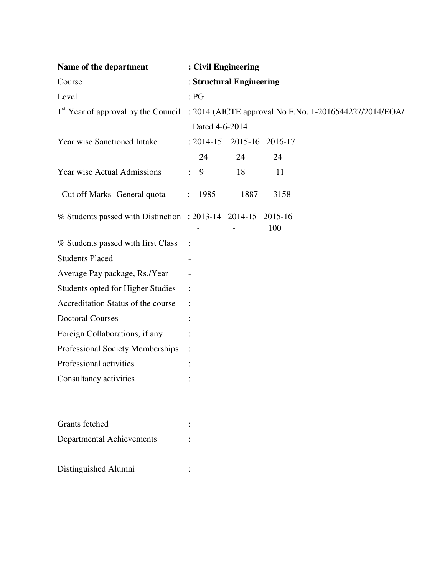| Name of the department                               | : Civil Engineering       |      |                                                                                            |  |
|------------------------------------------------------|---------------------------|------|--------------------------------------------------------------------------------------------|--|
| Course                                               | : Structural Engineering  |      |                                                                                            |  |
| Level                                                | : PG                      |      |                                                                                            |  |
|                                                      |                           |      | 1st Year of approval by the Council : 2014 (AICTE approval No F.No. 1-2016544227/2014/EOA/ |  |
|                                                      | Dated 4-6-2014            |      |                                                                                            |  |
| Year wise Sanctioned Intake                          | : 2014-15 2015-16 2016-17 |      |                                                                                            |  |
|                                                      | 24                        | 24   | 24                                                                                         |  |
| <b>Year wise Actual Admissions</b>                   | 9<br>$\ddot{\cdot}$       | 18   | 11                                                                                         |  |
| Cut off Marks- General quota                         | 1985<br>$\ddot{\cdot}$    | 1887 | 3158                                                                                       |  |
| % Students passed with Distinction : 2013-14 2014-15 |                           |      | 2015-16<br>100                                                                             |  |
| % Students passed with first Class                   | $\ddot{\cdot}$            |      |                                                                                            |  |
| <b>Students Placed</b>                               | $\overline{\phantom{0}}$  |      |                                                                                            |  |
| Average Pay package, Rs./Year                        |                           |      |                                                                                            |  |
| Students opted for Higher Studies                    | $\ddot{\cdot}$            |      |                                                                                            |  |
| Accreditation Status of the course                   |                           |      |                                                                                            |  |
| <b>Doctoral Courses</b>                              |                           |      |                                                                                            |  |
| Foreign Collaborations, if any                       |                           |      |                                                                                            |  |
| Professional Society Memberships                     |                           |      |                                                                                            |  |
| Professional activities                              |                           |      |                                                                                            |  |
| Consultancy activities                               |                           |      |                                                                                            |  |
| Grants fetched                                       |                           |      |                                                                                            |  |
| Departmental Achievements                            |                           |      |                                                                                            |  |
| Distinguished Alumni                                 |                           |      |                                                                                            |  |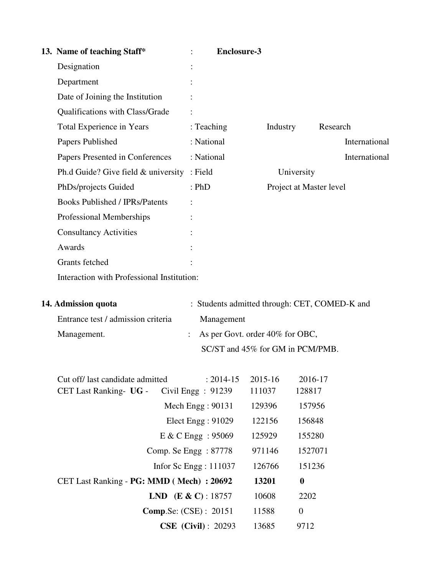| 13. Name of teaching Staff*                | <b>Enclosure-3</b>                        |          |                                               |
|--------------------------------------------|-------------------------------------------|----------|-----------------------------------------------|
| Designation                                |                                           |          |                                               |
| Department                                 |                                           |          |                                               |
| Date of Joining the Institution            |                                           |          |                                               |
| Qualifications with Class/Grade            |                                           |          |                                               |
| Total Experience in Years                  | : Teaching                                | Industry | Research                                      |
| Papers Published                           | : National                                |          | International                                 |
| Papers Presented in Conferences            | : National                                |          | International                                 |
| Ph.d Guide? Give field $&$ university      | : Field                                   |          | University                                    |
| PhDs/projects Guided                       | : PhD                                     |          | Project at Master level                       |
| <b>Books Published / IPRs/Patents</b>      | $\ddot{\cdot}$                            |          |                                               |
| Professional Memberships                   |                                           |          |                                               |
| <b>Consultancy Activities</b>              |                                           |          |                                               |
| Awards                                     |                                           |          |                                               |
| Grants fetched                             |                                           |          |                                               |
| Interaction with Professional Institution: |                                           |          |                                               |
| 14. Admission quota                        |                                           |          | : Students admitted through: CET, COMED-K and |
| Entrance test / admission criteria         | Management                                |          |                                               |
| Management.                                | As per Govt. order 40% for OBC,           |          |                                               |
|                                            | SC/ST and 45% for GM in PCM/PMB.          |          |                                               |
|                                            |                                           |          |                                               |
| Cut off/ last candidate admitted           | $: 2014 - 15$                             | 2015-16  | 2016-17                                       |
| CET Last Ranking- UG -                     | Civil Engg $: 91239$                      | 111037   | 128817                                        |
|                                            | Mech Engg: 90131                          | 129396   | 157956                                        |
|                                            | Elect Engg: 91029                         | 122156   | 156848                                        |
|                                            | E & C Engg : 95069                        | 125929   | 155280                                        |
|                                            | Comp. Se Engg : 87778                     | 971146   | 1527071                                       |
|                                            | Infor Sc Engg: 111037                     | 126766   | 151236                                        |
| CET Last Ranking - PG: MMD (Mech) : 20692  |                                           | 13201    | $\boldsymbol{0}$                              |
|                                            | <b>LND</b> ( <b>E</b> & <b>C</b> ): 18757 | 10608    | 2202                                          |
|                                            | <b>Comp.Se: (CSE) : 20151</b>             | 11588    | $\boldsymbol{0}$                              |
|                                            | <b>CSE</b> (Civil): 20293                 | 13685    | 9712                                          |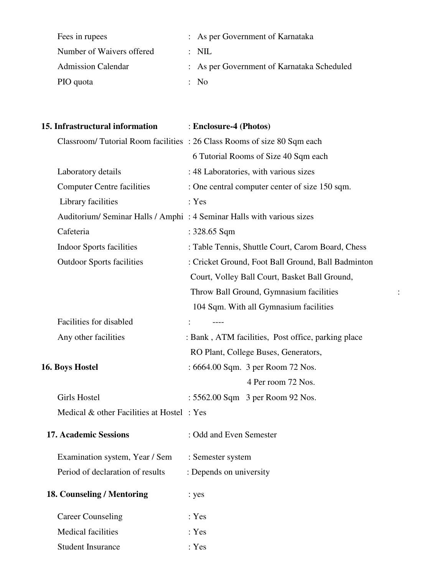| Fees in rupees            | : As per Government of Karnataka           |
|---------------------------|--------------------------------------------|
| Number of Waivers offered | $\therefore$ NIL                           |
| <b>Admission Calendar</b> | : As per Government of Karnataka Scheduled |
| PIO quota                 | : No                                       |

| 15. Infrastructural information           | : Enclosure-4 (Photos)                                                 |  |
|-------------------------------------------|------------------------------------------------------------------------|--|
|                                           | Classroom/Tutorial Room facilities: 26 Class Rooms of size 80 Sqm each |  |
|                                           | 6 Tutorial Rooms of Size 40 Sqm each                                   |  |
| Laboratory details                        | : 48 Laboratories, with various sizes                                  |  |
| <b>Computer Centre facilities</b>         | : One central computer center of size 150 sqm.                         |  |
| Library facilities                        | : Yes                                                                  |  |
|                                           | Auditorium/ Seminar Halls / Amphi: 4 Seminar Halls with various sizes  |  |
| Cafeteria                                 | : $328.65$ Sqm                                                         |  |
| <b>Indoor Sports facilities</b>           | : Table Tennis, Shuttle Court, Carom Board, Chess                      |  |
| <b>Outdoor Sports facilities</b>          | : Cricket Ground, Foot Ball Ground, Ball Badminton                     |  |
|                                           | Court, Volley Ball Court, Basket Ball Ground,                          |  |
|                                           | Throw Ball Ground, Gymnasium facilities                                |  |
|                                           | 104 Sqm. With all Gymnasium facilities                                 |  |
| Facilities for disabled                   | $---$                                                                  |  |
| Any other facilities                      | : Bank, ATM facilities, Post office, parking place                     |  |
|                                           | RO Plant, College Buses, Generators,                                   |  |
| 16. Boys Hostel                           | : 6664.00 Sqm. 3 per Room 72 Nos.                                      |  |
|                                           | 4 Per room 72 Nos.                                                     |  |
| Girls Hostel                              | : 5562.00 Sqm 3 per Room 92 Nos.                                       |  |
| Medical & other Facilities at Hostel: Yes |                                                                        |  |
| <b>17. Academic Sessions</b>              | : Odd and Even Semester                                                |  |
| Examination system, Year / Sem            | : Semester system                                                      |  |
| Period of declaration of results          | : Depends on university                                                |  |
| 18. Counseling / Mentoring                | : yes                                                                  |  |
| <b>Career Counseling</b>                  | : Yes                                                                  |  |
| Medical facilities                        | : Yes                                                                  |  |
| <b>Student Insurance</b>                  | : Yes                                                                  |  |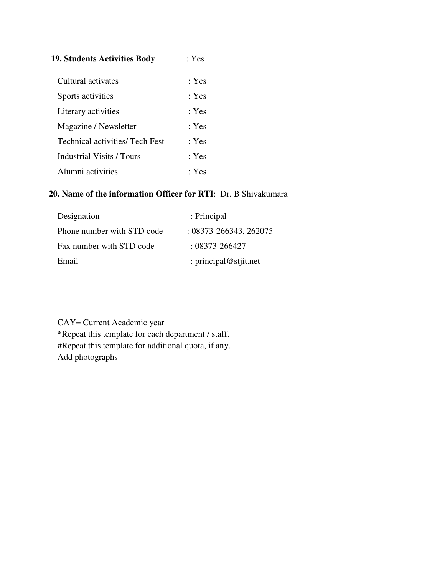| <b>19. Students Activities Body</b>    | : $Yes$ |
|----------------------------------------|---------|
| Cultural activates                     | : Yes   |
| Sports activities                      | : Yes   |
| Literary activities                    | : Yes   |
| Magazine / Newsletter                  | : Yes   |
| <b>Technical activities/ Tech Fest</b> | : Yes   |
| <b>Industrial Visits / Tours</b>       | : Yes   |
| Alumni activities                      | : Yes   |

#### **20. Name of the information Officer for RTI**: Dr. B Shivakumara

| Designation                | : Principal                |
|----------------------------|----------------------------|
| Phone number with STD code | $: 08373 - 266343, 262075$ |
| Fax number with STD code   | $: 08373 - 266427$         |
| Email                      | : principal@stjit.net      |

CAY= Current Academic year \*Repeat this template for each department / staff. #Repeat this template for additional quota, if any. Add photographs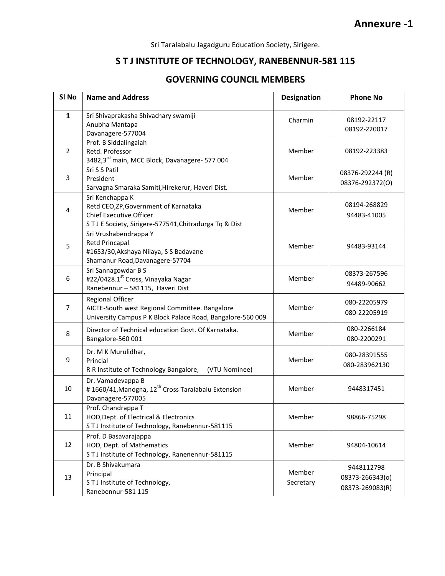Sri Taralabalu Jagadguru Education Society, Sirigere.

### S T J INSTITUTE OF TECHNOLOGY, RANEBENNUR-581 115

#### GOVERNING COUNCIL MEMBERS

| SI <sub>No</sub> | <b>Name and Address</b>                                                                                                                            | <b>Designation</b>  | <b>Phone No</b>                                  |
|------------------|----------------------------------------------------------------------------------------------------------------------------------------------------|---------------------|--------------------------------------------------|
| $\mathbf{1}$     | Sri Shivaprakasha Shivachary swamiji<br>Anubha Mantapa<br>Davanagere-577004                                                                        | Charmin             | 08192-22117<br>08192-220017                      |
| $\overline{2}$   | Prof. B Siddalingaiah<br>Retd. Professor<br>3482,3rd main, MCC Block, Davanagere- 577 004                                                          | Member              | 08192-223383                                     |
| 3                | Sri S S Patil<br>President<br>Sarvagna Smaraka Samiti, Hirekerur, Haveri Dist.                                                                     | Member              | 08376-292244 (R)<br>08376-292372(0)              |
| 4                | Sri Kenchappa K<br>Retd CEO, ZP, Government of Karnataka<br><b>Chief Executive Officer</b><br>STJE Society, Sirigere-577541, Chitradurga Tq & Dist | Member              | 08194-268829<br>94483-41005                      |
| 5                | Sri Vrushabendrappa Y<br>Retd Princapal<br>#1653/30, Akshaya Nilaya, S S Badavane<br>Shamanur Road, Davanagere-57704                               | Member              | 94483-93144                                      |
| 6                | Sri Sannagowdar B S<br>#22/0428.1st Cross, Vinayaka Nagar<br>Ranebennur - 581115, Haveri Dist                                                      | Member              | 08373-267596<br>94489-90662                      |
| $\overline{7}$   | <b>Regional Officer</b><br>AICTE-South west Regional Committee. Bangalore<br>University Campus P K Block Palace Road, Bangalore-560 009            | Member              | 080-22205979<br>080-22205919                     |
| 8                | Director of Technical education Govt. Of Karnataka.<br>Bangalore-560 001                                                                           | Member              | 080-2266184<br>080-2200291                       |
| 9                | Dr. M K Murulidhar,<br>Princial<br>R R Institute of Technology Bangalore,<br>(VTU Nominee)                                                         | Member              | 080-28391555<br>080-283962130                    |
| 10               | Dr. Vamadevappa B<br>#1660/41, Manogna, 12 <sup>th</sup> Cross Taralabalu Extension<br>Davanagere-577005                                           | Member              | 9448317451                                       |
| 11               | Prof. Chandrappa T<br>HOD, Dept. of Electrical & Electronics<br>STJ Institute of Technology, Ranebennur-581115                                     | Member              | 98866-75298                                      |
| 12               | Prof. D Basavarajappa<br>HOD, Dept. of Mathematics<br>STJ Institute of Technology, Ranenennur-581115                                               | Member              | 94804-10614                                      |
| 13               | Dr. B Shivakumara<br>Principal<br>STJ Institute of Technology,<br>Ranebennur-581 115                                                               | Member<br>Secretary | 9448112798<br>08373-266343(o)<br>08373-269083(R) |